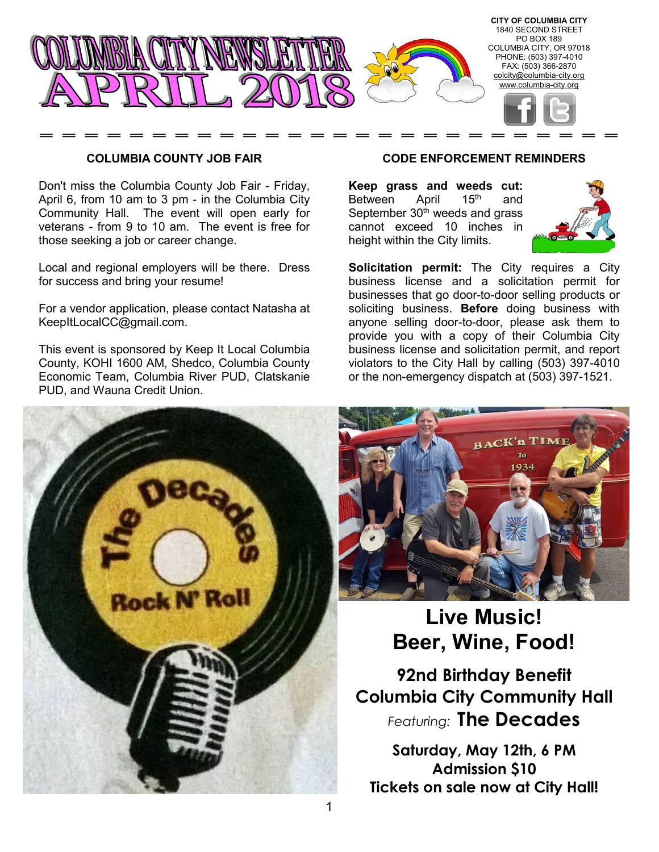

#### **COLUMBIA COUNTY JOB FAIR**

Don't miss the Columbia County Job Fair - Friday, April 6, from 10 am to 3 pm - in the Columbia City Community Hall. The event will open early for veterans - from 9 to 10 am. The event is free for those seeking a job or career change.

Local and regional employers will be there. Dress for success and bring your resume!

For a vendor application, please contact Natasha at KeepItLocalCC@gmail.com.

This event is sponsored by Keep It Local Columbia County, KOHI 1600 AM, Shedco, Columbia County Economic Team, Columbia River PUD, Clatskanie PUD, and Wauna Credit Union.

## **CODE ENFORCEMENT REMINDERS**

**Keep grass and weeds cut:**  Between April 15<sup>th</sup> and September  $30<sup>th</sup>$  weeds and grass cannot exceed 10 inches in height within the City limits.



**Solicitation permit:** The City requires a City business license and a solicitation permit for businesses that go door-to-door selling products or soliciting business. **Before** doing business with anyone selling door-to-door, please ask them to provide you with a copy of their Columbia City business license and solicitation permit, and report violators to the City Hall by calling (503) 397-4010 or the non-emergency dispatch at (503) 397-1521.





# **Live Music! Beer, Wine, Food!**

**92nd Birthday Benefit Columbia City Community Hall** *Featuring:* **The Decades**

**Saturday, May 12th, 6 PM Admission \$10 Tickets on sale now at City Hall!**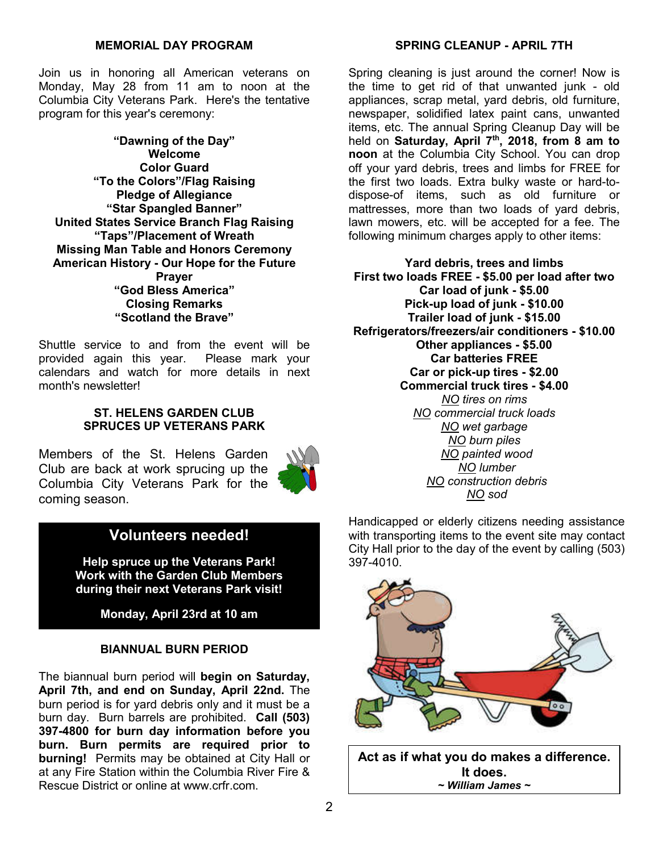Join us in honoring all American veterans on Monday, May 28 from 11 am to noon at the Columbia City Veterans Park. Here's the tentative program for this year's ceremony:

**"Dawning of the Day" Welcome Color Guard "To the Colors"/Flag Raising Pledge of Allegiance "Star Spangled Banner" United States Service Branch Flag Raising "Taps"/Placement of Wreath Missing Man Table and Honors Ceremony American History - Our Hope for the Future Prayer "God Bless America" Closing Remarks "Scotland the Brave"**

Shuttle service to and from the event will be provided again this year. Please mark your calendars and watch for more details in next month's newsletter!

# **ST. HELENS GARDEN CLUB SPRUCES UP VETERANS PARK**

Members of the St. Helens Garden Club are back at work sprucing up the Columbia City Veterans Park for the coming season.



# **Volunteers needed!**

**Help spruce up the Veterans Park! Work with the Garden Club Members during their next Veterans Park visit!**

**Monday, April 23rd at 10 am**

# **BIANNUAL BURN PERIOD**

The biannual burn period will **begin on Saturday, April 7th, and end on Sunday, April 22nd.** The burn period is for yard debris only and it must be a burn day. Burn barrels are prohibited. **Call (503) 397-4800 for burn day information before you burn. Burn permits are required prior to burning!** Permits may be obtained at City Hall or at any Fire Station within the Columbia River Fire & Rescue District or online at www.crfr.com.

Spring cleaning is just around the corner! Now is the time to get rid of that unwanted junk - old appliances, scrap metal, yard debris, old furniture, newspaper, solidified latex paint cans, unwanted items, etc. The annual Spring Cleanup Day will be held on **Saturday, April 7th, 2018, from 8 am to noon** at the Columbia City School. You can drop off your yard debris, trees and limbs for FREE for the first two loads. Extra bulky waste or hard-todispose-of items, such as old furniture or mattresses, more than two loads of yard debris, lawn mowers, etc. will be accepted for a fee. The following minimum charges apply to other items:

**Yard debris, trees and limbs First two loads FREE - \$5.00 per load after two Car load of junk - \$5.00 Pick-up load of junk - \$10.00 Trailer load of junk - \$15.00 Refrigerators/freezers/air conditioners - \$10.00 Other appliances - \$5.00 Car batteries FREE Car or pick-up tires - \$2.00 Commercial truck tires - \$4.00** *NO tires on rims NO commercial truck loads NO wet garbage NO burn piles NO painted wood NO lumber NO construction debris NO sod*

Handicapped or elderly citizens needing assistance with transporting items to the event site may contact City Hall prior to the day of the event by calling (503) 397-4010.



**Act as if what you do makes a difference. It does.** *~ William James ~*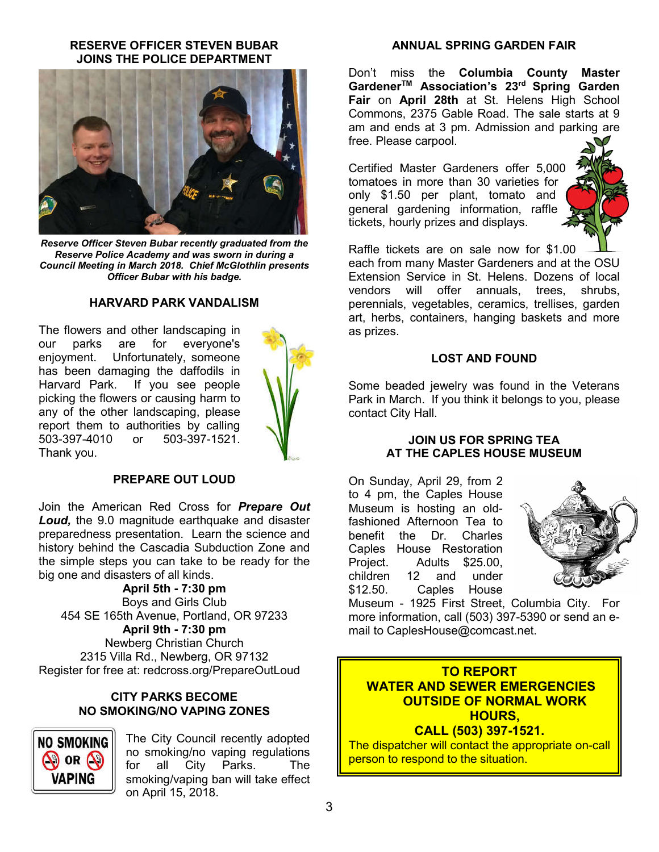## **RESERVE OFFICER STEVEN BUBAR JOINS THE POLICE DEPARTMENT**



*Reserve Officer Steven Bubar recently graduated from the Reserve Police Academy and was sworn in during a Council Meeting in March 2018. Chief McGlothlin presents Officer Bubar with his badge.*

#### **HARVARD PARK VANDALISM**

The flowers and other landscaping in our parks are for everyone's enjoyment. Unfortunately, someone has been damaging the daffodils in Harvard Park. If you see people picking the flowers or causing harm to any of the other landscaping, please report them to authorities by calling 503-397-4010 or 503-397-1521. Thank you.



#### **PREPARE OUT LOUD**

Join the American Red Cross for *Prepare Out Loud,* the 9.0 magnitude earthquake and disaster preparedness presentation. Learn the science and history behind the Cascadia Subduction Zone and the simple steps you can take to be ready for the big one and disasters of all kinds.

**April 5th - 7:30 pm** Boys and Girls Club 454 SE 165th Avenue, Portland, OR 97233 **April 9th - 7:30 pm** Newberg Christian Church 2315 Villa Rd., Newberg, OR 97132 Register for free at: redcross.org/PrepareOutLoud

#### **CITY PARKS BECOME NO SMOKING/NO VAPING ZONES**



The City Council recently adopted no smoking/no vaping regulations<br>for all City Parks. The for all City Parks. The smoking/vaping ban will take effect on April 15, 2018.

#### **ANNUAL SPRING GARDEN FAIR**

Don't miss the **Columbia County Master GardenerTM Association's 23rd Spring Garden Fair** on **April 28th** at St. Helens High School Commons, 2375 Gable Road. The sale starts at 9 am and ends at 3 pm. Admission and parking are free. Please carpool.

Certified Master Gardeners offer 5,000 tomatoes in more than 30 varieties for only \$1.50 per plant, tomato and general gardening information, raffle tickets, hourly prizes and displays.



Raffle tickets are on sale now for \$1.00 each from many Master Gardeners and at the OSU Extension Service in St. Helens. Dozens of local vendors will offer annuals, trees, shrubs, perennials, vegetables, ceramics, trellises, garden art, herbs, containers, hanging baskets and more as prizes.

#### **LOST AND FOUND**

Some beaded jewelry was found in the Veterans Park in March. If you think it belongs to you, please contact City Hall.

#### **JOIN US FOR SPRING TEA AT THE CAPLES HOUSE MUSEUM**

On Sunday, April 29, from 2 to 4 pm, the Caples House Museum is hosting an oldfashioned Afternoon Tea to benefit the Dr. Charles Caples House Restoration Project. Adults \$25.00, children 12 and under \$12.50. Caples House



Museum - 1925 First Street, Columbia City. For more information, call (503) 397-5390 or send an email to CaplesHouse@comcast.net.

**TO REPORT WATER AND SEWER EMERGENCIES OUTSIDE OF NORMAL WORK HOURS, CALL (503) 397-1521.**

The dispatcher will contact the appropriate on-call person to respond to the situation.